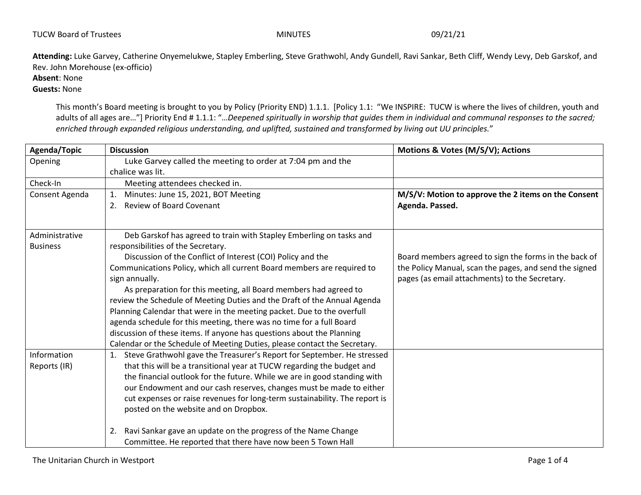| <b>TUCW Board of Trustees</b> | <b>MINUTES</b> | 09/21/21 |
|-------------------------------|----------------|----------|
|                               |                |          |

**Attending:** Luke Garvey, Catherine Onyemelukwe, Stapley Emberling, Steve Grathwohl, Andy Gundell, Ravi Sankar, Beth Cliff, Wendy Levy, Deb Garskof, and Rev. John Morehouse (ex-officio)

**Absent**: None

**Guests:** None

This month's Board meeting is brought to you by Policy (Priority END) 1.1.1. [Policy 1.1: "We INSPIRE:TUCW is where the lives of children, youth and adults of all ages are…"] Priority End # 1.1.1: "…*Deepened spiritually in worship that guides them in individual and communal responses to the sacred; enriched through expanded religious understanding, and uplifted, sustained and transformed by living out UU principles.*"

| Agenda/Topic    | <b>Discussion</b>                                                          | Motions & Votes (M/S/V); Actions                       |
|-----------------|----------------------------------------------------------------------------|--------------------------------------------------------|
| Opening         | Luke Garvey called the meeting to order at 7:04 pm and the                 |                                                        |
|                 | chalice was lit.                                                           |                                                        |
| Check-In        | Meeting attendees checked in.                                              |                                                        |
| Consent Agenda  | Minutes: June 15, 2021, BOT Meeting<br>1.                                  | M/S/V: Motion to approve the 2 items on the Consent    |
|                 | <b>Review of Board Covenant</b><br>2.                                      | Agenda. Passed.                                        |
|                 |                                                                            |                                                        |
| Administrative  | Deb Garskof has agreed to train with Stapley Emberling on tasks and        |                                                        |
| <b>Business</b> | responsibilities of the Secretary.                                         |                                                        |
|                 | Discussion of the Conflict of Interest (COI) Policy and the                | Board members agreed to sign the forms in the back of  |
|                 | Communications Policy, which all current Board members are required to     | the Policy Manual, scan the pages, and send the signed |
|                 | sign annually.                                                             | pages (as email attachments) to the Secretary.         |
|                 | As preparation for this meeting, all Board members had agreed to           |                                                        |
|                 | review the Schedule of Meeting Duties and the Draft of the Annual Agenda   |                                                        |
|                 | Planning Calendar that were in the meeting packet. Due to the overfull     |                                                        |
|                 | agenda schedule for this meeting, there was no time for a full Board       |                                                        |
|                 | discussion of these items. If anyone has questions about the Planning      |                                                        |
|                 | Calendar or the Schedule of Meeting Duties, please contact the Secretary.  |                                                        |
| Information     | Steve Grathwohl gave the Treasurer's Report for September. He stressed     |                                                        |
| Reports (IR)    | that this will be a transitional year at TUCW regarding the budget and     |                                                        |
|                 | the financial outlook for the future. While we are in good standing with   |                                                        |
|                 | our Endowment and our cash reserves, changes must be made to either        |                                                        |
|                 | cut expenses or raise revenues for long-term sustainability. The report is |                                                        |
|                 | posted on the website and on Dropbox.                                      |                                                        |
|                 | Ravi Sankar gave an update on the progress of the Name Change<br>2.        |                                                        |
|                 | Committee. He reported that there have now been 5 Town Hall                |                                                        |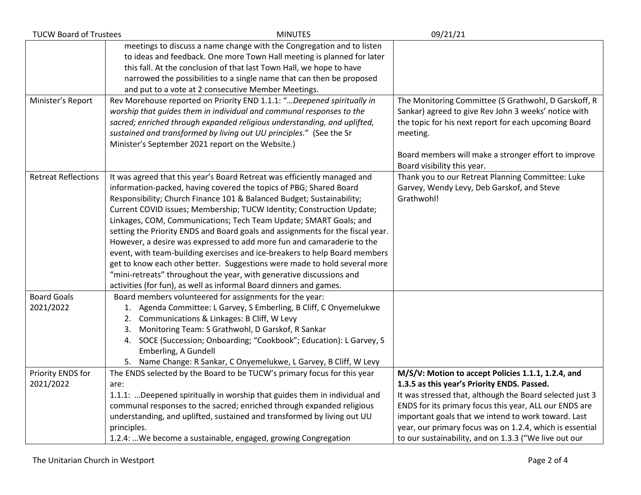| <b>TUCW Board of Trustees</b>   | <b>MINUTES</b>                                                                                                                                                                                                                                                                                                                                                                                                                                                                                                                                                                                                                                                                                                                                                                                                                             | 09/21/21                                                                                                                                                                                                                                                                                                                                                                                            |
|---------------------------------|--------------------------------------------------------------------------------------------------------------------------------------------------------------------------------------------------------------------------------------------------------------------------------------------------------------------------------------------------------------------------------------------------------------------------------------------------------------------------------------------------------------------------------------------------------------------------------------------------------------------------------------------------------------------------------------------------------------------------------------------------------------------------------------------------------------------------------------------|-----------------------------------------------------------------------------------------------------------------------------------------------------------------------------------------------------------------------------------------------------------------------------------------------------------------------------------------------------------------------------------------------------|
|                                 | meetings to discuss a name change with the Congregation and to listen<br>to ideas and feedback. One more Town Hall meeting is planned for later<br>this fall. At the conclusion of that last Town Hall, we hope to have<br>narrowed the possibilities to a single name that can then be proposed<br>and put to a vote at 2 consecutive Member Meetings.                                                                                                                                                                                                                                                                                                                                                                                                                                                                                    |                                                                                                                                                                                                                                                                                                                                                                                                     |
| Minister's Report               | Rev Morehouse reported on Priority END 1.1.1: "Deepened spiritually in<br>worship that quides them in individual and communal responses to the<br>sacred; enriched through expanded religious understanding, and uplifted,<br>sustained and transformed by living out UU principles." (See the Sr<br>Minister's September 2021 report on the Website.)                                                                                                                                                                                                                                                                                                                                                                                                                                                                                     | The Monitoring Committee (S Grathwohl, D Garskoff, R<br>Sankar) agreed to give Rev John 3 weeks' notice with<br>the topic for his next report for each upcoming Board<br>meeting.<br>Board members will make a stronger effort to improve<br>Board visibility this year.                                                                                                                            |
| <b>Retreat Reflections</b>      | It was agreed that this year's Board Retreat was efficiently managed and<br>information-packed, having covered the topics of PBG; Shared Board<br>Responsibility; Church Finance 101 & Balanced Budget; Sustainability;<br>Current COVID issues; Membership; TUCW Identity; Construction Update;<br>Linkages, COM, Communications; Tech Team Update; SMART Goals; and<br>setting the Priority ENDS and Board goals and assignments for the fiscal year.<br>However, a desire was expressed to add more fun and camaraderie to the<br>event, with team-building exercises and ice-breakers to help Board members<br>get to know each other better. Suggestions were made to hold several more<br>"mini-retreats" throughout the year, with generative discussions and<br>activities (for fun), as well as informal Board dinners and games. | Thank you to our Retreat Planning Committee: Luke<br>Garvey, Wendy Levy, Deb Garskof, and Steve<br>Grathwohl!                                                                                                                                                                                                                                                                                       |
| <b>Board Goals</b><br>2021/2022 | Board members volunteered for assignments for the year:<br>1. Agenda Committee: L Garvey, S Emberling, B Cliff, C Onyemelukwe<br>2. Communications & Linkages: B Cliff, W Levy<br>3. Monitoring Team: S Grathwohl, D Garskof, R Sankar<br>4. SOCE (Succession; Onboarding; "Cookbook"; Education): L Garvey, S<br>Emberling, A Gundell<br>5. Name Change: R Sankar, C Onyemelukwe, L Garvey, B Cliff, W Levy                                                                                                                                                                                                                                                                                                                                                                                                                               |                                                                                                                                                                                                                                                                                                                                                                                                     |
| Priority ENDS for<br>2021/2022  | The ENDS selected by the Board to be TUCW's primary focus for this year<br>are:<br>1.1.1: Deepened spiritually in worship that guides them in individual and<br>communal responses to the sacred; enriched through expanded religious<br>understanding, and uplifted, sustained and transformed by living out UU<br>principles.<br>1.2.4:  We become a sustainable, engaged, growing Congregation                                                                                                                                                                                                                                                                                                                                                                                                                                          | M/S/V: Motion to accept Policies 1.1.1, 1.2.4, and<br>1.3.5 as this year's Priority ENDS. Passed.<br>It was stressed that, although the Board selected just 3<br>ENDS for its primary focus this year, ALL our ENDS are<br>important goals that we intend to work toward. Last<br>year, our primary focus was on 1.2.4, which is essential<br>to our sustainability, and on 1.3.3 ("We live out our |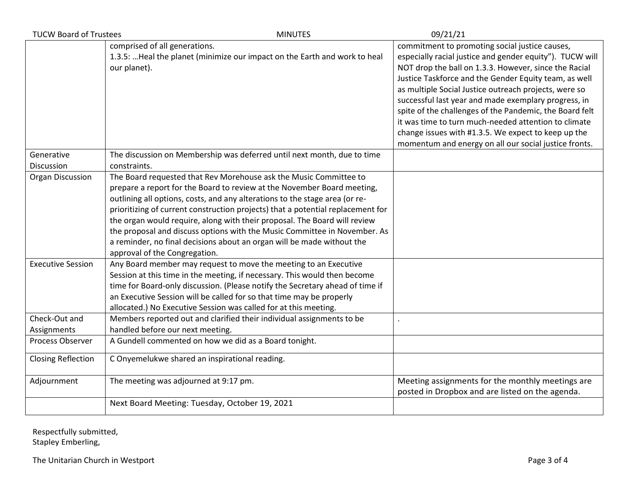| <b>TUCW Board of Trustees</b> | <b>MINUTES</b>                                                                                                                                                                                                                                                                                                                                                                                                                                                                                                                                                                      | 09/21/21                                                                                                                                                                                                                                                                                                                                                                                                                                                                                                                                                                         |
|-------------------------------|-------------------------------------------------------------------------------------------------------------------------------------------------------------------------------------------------------------------------------------------------------------------------------------------------------------------------------------------------------------------------------------------------------------------------------------------------------------------------------------------------------------------------------------------------------------------------------------|----------------------------------------------------------------------------------------------------------------------------------------------------------------------------------------------------------------------------------------------------------------------------------------------------------------------------------------------------------------------------------------------------------------------------------------------------------------------------------------------------------------------------------------------------------------------------------|
|                               | comprised of all generations.<br>1.3.5:  Heal the planet (minimize our impact on the Earth and work to heal<br>our planet).                                                                                                                                                                                                                                                                                                                                                                                                                                                         | commitment to promoting social justice causes,<br>especially racial justice and gender equity"). TUCW will<br>NOT drop the ball on 1.3.3. However, since the Racial<br>Justice Taskforce and the Gender Equity team, as well<br>as multiple Social Justice outreach projects, were so<br>successful last year and made exemplary progress, in<br>spite of the challenges of the Pandemic, the Board felt<br>it was time to turn much-needed attention to climate<br>change issues with #1.3.5. We expect to keep up the<br>momentum and energy on all our social justice fronts. |
| Generative                    | The discussion on Membership was deferred until next month, due to time                                                                                                                                                                                                                                                                                                                                                                                                                                                                                                             |                                                                                                                                                                                                                                                                                                                                                                                                                                                                                                                                                                                  |
| Discussion                    | constraints.                                                                                                                                                                                                                                                                                                                                                                                                                                                                                                                                                                        |                                                                                                                                                                                                                                                                                                                                                                                                                                                                                                                                                                                  |
| Organ Discussion              | The Board requested that Rev Morehouse ask the Music Committee to<br>prepare a report for the Board to review at the November Board meeting,<br>outlining all options, costs, and any alterations to the stage area (or re-<br>prioritizing of current construction projects) that a potential replacement for<br>the organ would require, along with their proposal. The Board will review<br>the proposal and discuss options with the Music Committee in November. As<br>a reminder, no final decisions about an organ will be made without the<br>approval of the Congregation. |                                                                                                                                                                                                                                                                                                                                                                                                                                                                                                                                                                                  |
| <b>Executive Session</b>      | Any Board member may request to move the meeting to an Executive<br>Session at this time in the meeting, if necessary. This would then become<br>time for Board-only discussion. (Please notify the Secretary ahead of time if<br>an Executive Session will be called for so that time may be properly<br>allocated.) No Executive Session was called for at this meeting.                                                                                                                                                                                                          |                                                                                                                                                                                                                                                                                                                                                                                                                                                                                                                                                                                  |
| Check-Out and                 | Members reported out and clarified their individual assignments to be                                                                                                                                                                                                                                                                                                                                                                                                                                                                                                               |                                                                                                                                                                                                                                                                                                                                                                                                                                                                                                                                                                                  |
| Assignments                   | handled before our next meeting.                                                                                                                                                                                                                                                                                                                                                                                                                                                                                                                                                    |                                                                                                                                                                                                                                                                                                                                                                                                                                                                                                                                                                                  |
| Process Observer              | A Gundell commented on how we did as a Board tonight.                                                                                                                                                                                                                                                                                                                                                                                                                                                                                                                               |                                                                                                                                                                                                                                                                                                                                                                                                                                                                                                                                                                                  |
| <b>Closing Reflection</b>     | C Onyemelukwe shared an inspirational reading.                                                                                                                                                                                                                                                                                                                                                                                                                                                                                                                                      |                                                                                                                                                                                                                                                                                                                                                                                                                                                                                                                                                                                  |
| Adjournment                   | The meeting was adjourned at 9:17 pm.                                                                                                                                                                                                                                                                                                                                                                                                                                                                                                                                               | Meeting assignments for the monthly meetings are<br>posted in Dropbox and are listed on the agenda.                                                                                                                                                                                                                                                                                                                                                                                                                                                                              |
|                               | Next Board Meeting: Tuesday, October 19, 2021                                                                                                                                                                                                                                                                                                                                                                                                                                                                                                                                       |                                                                                                                                                                                                                                                                                                                                                                                                                                                                                                                                                                                  |

Respectfully submitted, Stapley Emberling,